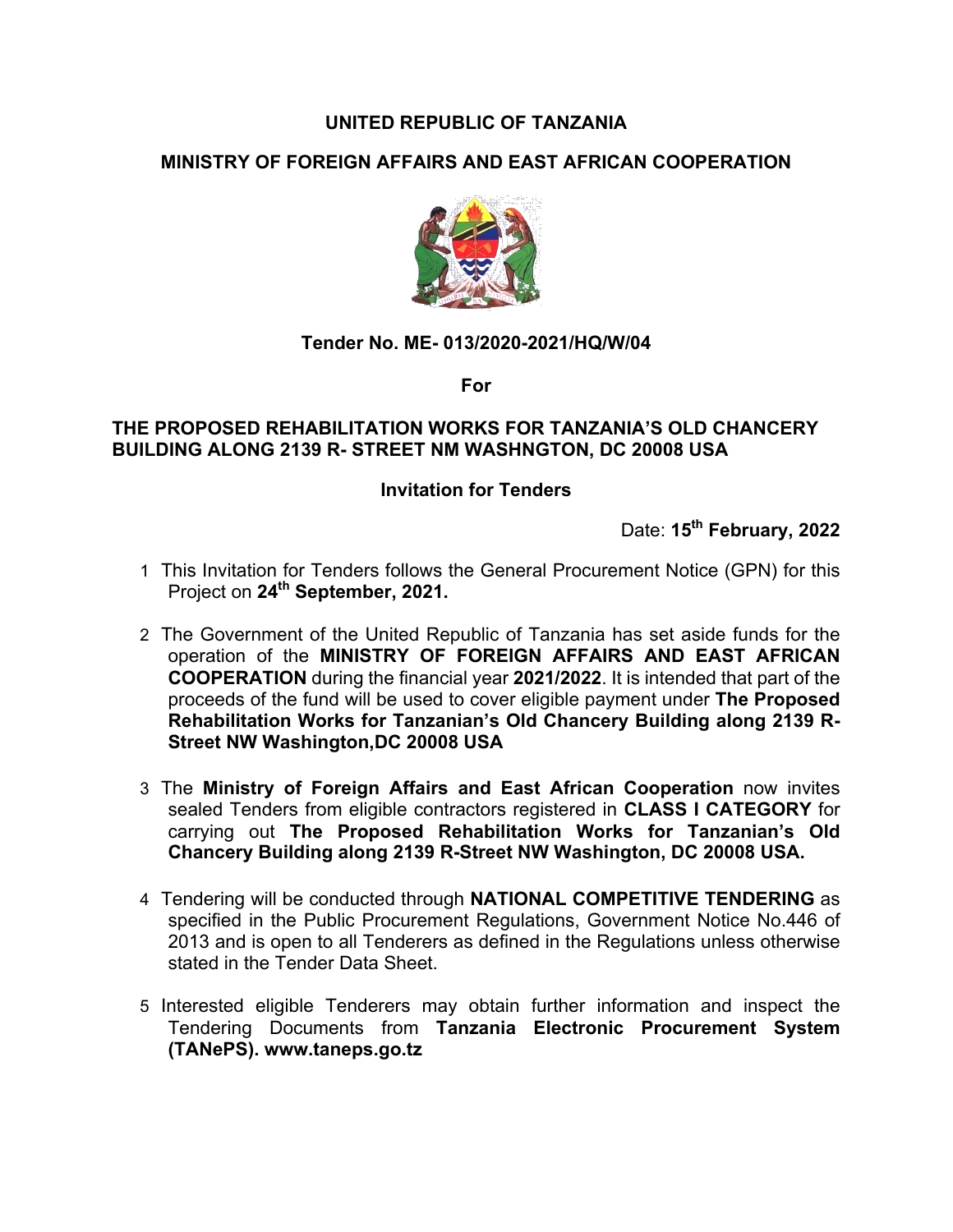# **UNITED REPUBLIC OF TANZANIA**

# **MINISTRY OF FOREIGN AFFAIRS AND EAST AFRICAN COOPERATION**



## **Tender No. ME- 013/2020-2021/HQ/W/04**

**For**

#### **THE PROPOSED REHABILITATION WORKS FOR TANZANIA'S OLD CHANCERY BUILDING ALONG 2139 R- STREET NM WASHNGTON, DC 20008 USA**

## **Invitation for Tenders**

Date: **15th February, 2022**

- 1 This Invitation for Tenders follows the General Procurement Notice (GPN) for this Project on **24th September, 2021.**
- 2 The Government of the United Republic of Tanzania has set aside funds for the operation of the **MINISTRY OF FOREIGN AFFAIRS AND EAST AFRICAN COOPERATION** during the financial year **2021/2022**. It is intended that part of the proceeds of the fund will be used to cover eligible payment under **The Proposed Rehabilitation Works for Tanzanian's Old Chancery Building along 2139 R-Street NW Washington,DC 20008 USA**
- 3 The **Ministry of Foreign Affairs and East African Cooperation** now invites sealed Tenders from eligible contractors registered in **CLASS I CATEGORY** for carrying out **The Proposed Rehabilitation Works for Tanzanian's Old Chancery Building along 2139 R-Street NW Washington, DC 20008 USA.**
- 4 Tendering will be conducted through **NATIONAL COMPETITIVE TENDERING** as specified in the Public Procurement Regulations, Government Notice No.446 of 2013 and is open to all Tenderers as defined in the Regulations unless otherwise stated in the Tender Data Sheet.
- 5 Interested eligible Tenderers may obtain further information and inspect the Tendering Documents from **Tanzania Electronic Procurement System (TANePS). www.taneps.go.tz**